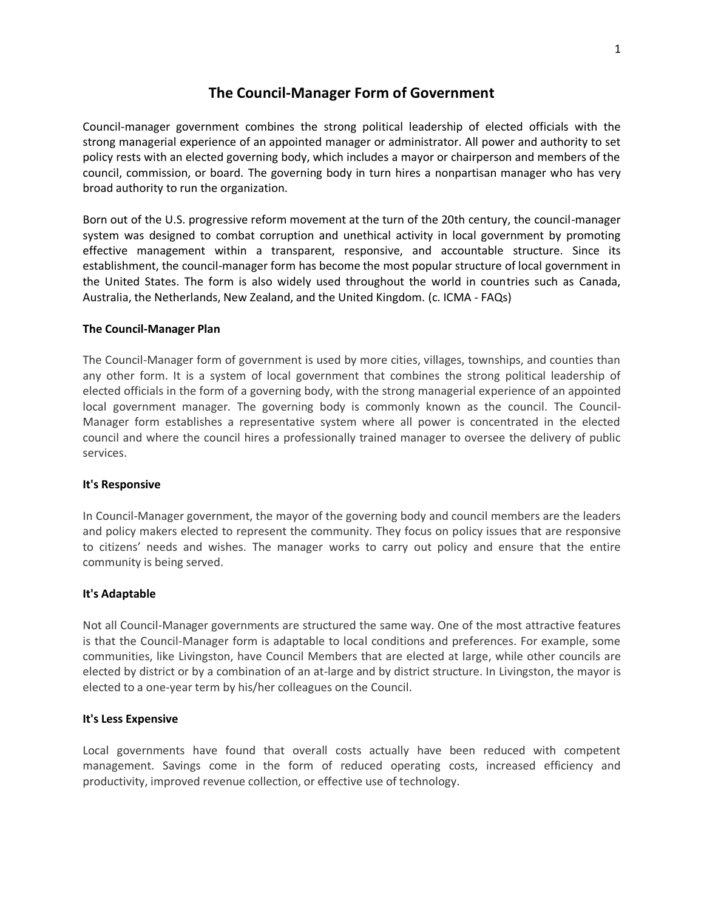# **The Council-Manager Form of Government**

Council-manager government combines the strong political leadership of elected officials with the strong managerial experience of an appointed manager or administrator. All power and authority to set policy rests with an elected governing body, which includes a mayor or chairperson and members of the council, commission, or board. The governing body in turn hires a nonpartisan manager who has very broad authority to run the organization.

Born out of the U.S. progressive reform movement at the turn of the 20th century, the council-manager system was designed to combat corruption and unethical activity in local government by promoting effective management within a transparent, responsive, and accountable structure. Since its establishment, the council-manager form has become the most popular structure of local government in the United States. The form is also widely used throughout the world in countries such as Canada, Australia, the Netherlands, New Zealand, and the United Kingdom. (c. ICMA - FAQs)

## **The Council-Manager Plan**

The Council-Manager form of government is used by more cities, villages, townships, and counties than any other form. It is a system of local government that combines the strong political leadership of elected officials in the form of a governing body, with the strong managerial experience of an appointed local government manager. The governing body is commonly known as the council. The Council-Manager form establishes a representative system where all power is concentrated in the elected council and where the council hires a professionally trained manager to oversee the delivery of public services.

### **It's Responsive**

In Council-Manager government, the mayor of the governing body and council members are the leaders and policy makers elected to represent the community. They focus on policy issues that are responsive to citizens' needs and wishes. The manager works to carry out policy and ensure that the entire community is being served.

### **It's Adaptable**

Not all Council-Manager governments are structured the same way. One of the most attractive features is that the Council-Manager form is adaptable to local conditions and preferences. For example, some communities, like Livingston, have Council Members that are elected at large, while other councils are elected by district or by a combination of an at-large and by district structure. In Livingston, the mayor is elected to a one-year term by his/her colleagues on the Council.

# **It's Less Expensive**

Local governments have found that overall costs actually have been reduced with competent management. Savings come in the form of reduced operating costs, increased efficiency and productivity, improved revenue collection, or effective use of technology.